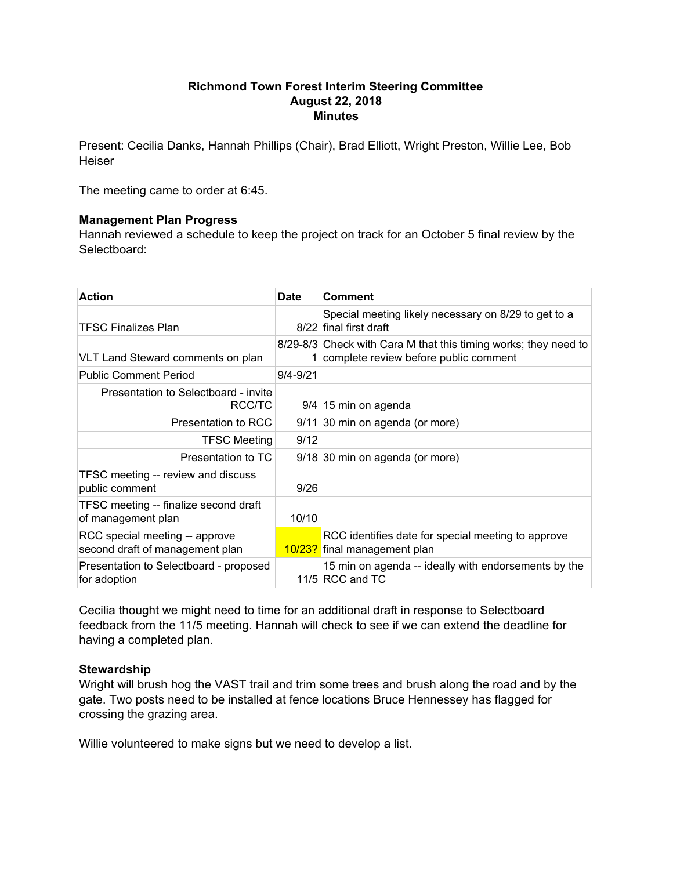### **Richmond Town Forest Interim Steering Committee August 22, 2018 Minutes**

Present: Cecilia Danks, Hannah Phillips (Chair), Brad Elliott, Wright Preston, Willie Lee, Bob **Heiser** 

The meeting came to order at 6:45.

# **Management Plan Progress**

Hannah reviewed a schedule to keep the project on track for an October 5 final review by the Selectboard:

| <b>Action</b>                                                     | <b>Date</b>  | <b>Comment</b>                                                                                             |
|-------------------------------------------------------------------|--------------|------------------------------------------------------------------------------------------------------------|
| <b>TFSC Finalizes Plan</b>                                        |              | Special meeting likely necessary on 8/29 to get to a<br>8/22 final first draft                             |
| VLT Land Steward comments on plan                                 |              | 8/29-8/3 Check with Cara M that this timing works; they need to<br>1 complete review before public comment |
| <b>Public Comment Period</b>                                      | $9/4 - 9/21$ |                                                                                                            |
| Presentation to Selectboard - invite<br>RCC/TC                    |              | $9/4$ 15 min on agenda                                                                                     |
| Presentation to RCC                                               |              | 9/11 30 min on agenda (or more)                                                                            |
| <b>TFSC Meeting</b>                                               | 9/12         |                                                                                                            |
| Presentation to TC                                                |              | 9/18 30 min on agenda (or more)                                                                            |
| TFSC meeting -- review and discuss<br>public comment              | 9/26         |                                                                                                            |
| TFSC meeting -- finalize second draft<br>of management plan       | 10/10        |                                                                                                            |
| RCC special meeting -- approve<br>second draft of management plan |              | RCC identifies date for special meeting to approve<br>10/23? final management plan                         |
| Presentation to Selectboard - proposed<br>for adoption            |              | 15 min on agenda -- ideally with endorsements by the<br>11/5 $RCC$ and TC                                  |

Cecilia thought we might need to time for an additional draft in response to Selectboard feedback from the 11/5 meeting. Hannah will check to see if we can extend the deadline for having a completed plan.

# **Stewardship**

Wright will brush hog the VAST trail and trim some trees and brush along the road and by the gate. Two posts need to be installed at fence locations Bruce Hennessey has flagged for crossing the grazing area.

Willie volunteered to make signs but we need to develop a list.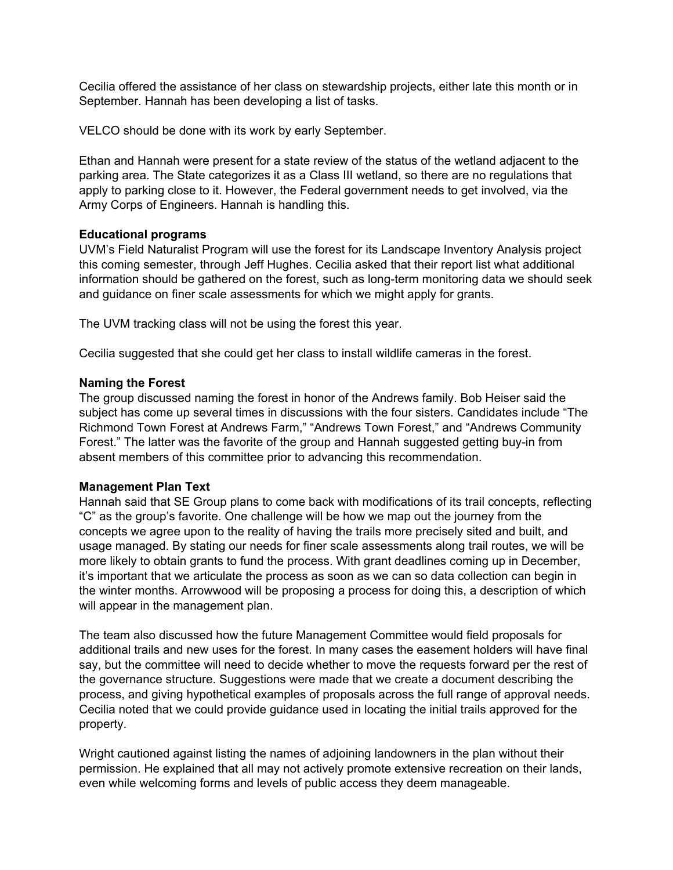Cecilia offered the assistance of her class on stewardship projects, either late this month or in September. Hannah has been developing a list of tasks.

VELCO should be done with its work by early September.

Ethan and Hannah were present for a state review of the status of the wetland adjacent to the parking area. The State categorizes it as a Class III wetland, so there are no regulations that apply to parking close to it. However, the Federal government needs to get involved, via the Army Corps of Engineers. Hannah is handling this.

### **Educational programs**

UVM's Field Naturalist Program will use the forest for its Landscape Inventory Analysis project this coming semester, through Jeff Hughes. Cecilia asked that their report list what additional information should be gathered on the forest, such as long-term monitoring data we should seek and guidance on finer scale assessments for which we might apply for grants.

The UVM tracking class will not be using the forest this year.

Cecilia suggested that she could get her class to install wildlife cameras in the forest.

### **Naming the Forest**

The group discussed naming the forest in honor of the Andrews family. Bob Heiser said the subject has come up several times in discussions with the four sisters. Candidates include "The Richmond Town Forest at Andrews Farm," "Andrews Town Forest," and "Andrews Community Forest." The latter was the favorite of the group and Hannah suggested getting buy-in from absent members of this committee prior to advancing this recommendation.

# **Management Plan Text**

Hannah said that SE Group plans to come back with modifications of its trail concepts, reflecting "C" as the group's favorite. One challenge will be how we map out the journey from the concepts we agree upon to the reality of having the trails more precisely sited and built, and usage managed. By stating our needs for finer scale assessments along trail routes, we will be more likely to obtain grants to fund the process. With grant deadlines coming up in December, it's important that we articulate the process as soon as we can so data collection can begin in the winter months. Arrowwood will be proposing a process for doing this, a description of which will appear in the management plan.

The team also discussed how the future Management Committee would field proposals for additional trails and new uses for the forest. In many cases the easement holders will have final say, but the committee will need to decide whether to move the requests forward per the rest of the governance structure. Suggestions were made that we create a document describing the process, and giving hypothetical examples of proposals across the full range of approval needs. Cecilia noted that we could provide guidance used in locating the initial trails approved for the property.

Wright cautioned against listing the names of adjoining landowners in the plan without their permission. He explained that all may not actively promote extensive recreation on their lands, even while welcoming forms and levels of public access they deem manageable.